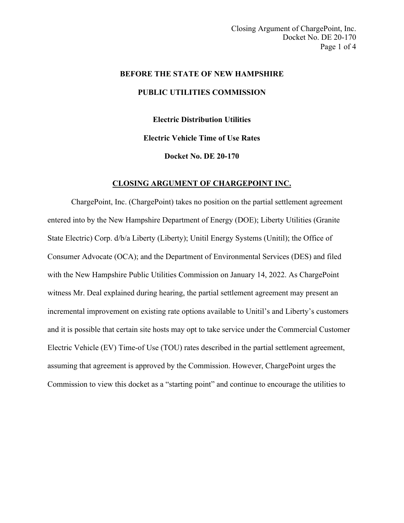# **BEFORE THE STATE OF NEW HAMPSHIRE PUBLIC UTILITIES COMMISSION**

**Electric Distribution Utilities Electric Vehicle Time of Use Rates Docket No. DE 20-170**

#### **CLOSING ARGUMENT OF CHARGEPOINT INC.**

ChargePoint, Inc. (ChargePoint) takes no position on the partial settlement agreement entered into by the New Hampshire Department of Energy (DOE); Liberty Utilities (Granite State Electric) Corp. d/b/a Liberty (Liberty); Unitil Energy Systems (Unitil); the Office of Consumer Advocate (OCA); and the Department of Environmental Services (DES) and filed with the New Hampshire Public Utilities Commission on January 14, 2022. As ChargePoint witness Mr. Deal explained during hearing, the partial settlement agreement may present an incremental improvement on existing rate options available to Unitil's and Liberty's customers and it is possible that certain site hosts may opt to take service under the Commercial Customer Electric Vehicle (EV) Time-of Use (TOU) rates described in the partial settlement agreement, assuming that agreement is approved by the Commission. However, ChargePoint urges the Commission to view this docket as a "starting point" and continue to encourage the utilities to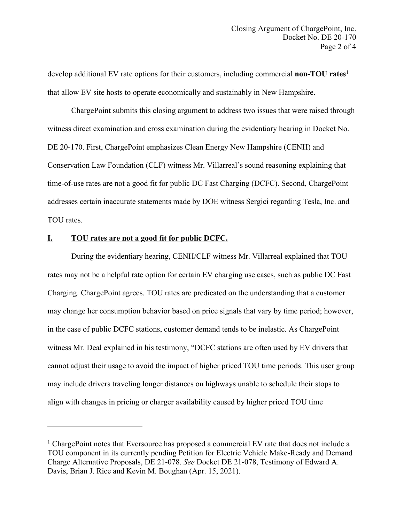develop additional EV rate options for their customers, including commercial **non-TOU rates**<sup>1</sup> that allow EV site hosts to operate economically and sustainably in New Hampshire.

ChargePoint submits this closing argument to address two issues that were raised through witness direct examination and cross examination during the evidentiary hearing in Docket No. DE 20-170. First, ChargePoint emphasizes Clean Energy New Hampshire (CENH) and Conservation Law Foundation (CLF) witness Mr. Villarreal's sound reasoning explaining that time-of-use rates are not a good fit for public DC Fast Charging (DCFC). Second, ChargePoint addresses certain inaccurate statements made by DOE witness Sergici regarding Tesla, Inc. and TOU rates.

#### **I. TOU rates are not a good fit for public DCFC.**

During the evidentiary hearing, CENH/CLF witness Mr. Villarreal explained that TOU rates may not be a helpful rate option for certain EV charging use cases, such as public DC Fast Charging. ChargePoint agrees. TOU rates are predicated on the understanding that a customer may change her consumption behavior based on price signals that vary by time period; however, in the case of public DCFC stations, customer demand tends to be inelastic. As ChargePoint witness Mr. Deal explained in his testimony, "DCFC stations are often used by EV drivers that cannot adjust their usage to avoid the impact of higher priced TOU time periods. This user group may include drivers traveling longer distances on highways unable to schedule their stops to align with changes in pricing or charger availability caused by higher priced TOU time

<sup>&</sup>lt;sup>1</sup> ChargePoint notes that Eversource has proposed a commercial EV rate that does not include a TOU component in its currently pending Petition for Electric Vehicle Make-Ready and Demand Charge Alternative Proposals, DE 21-078. *See* Docket DE 21-078, Testimony of Edward A. Davis, Brian J. Rice and Kevin M. Boughan (Apr. 15, 2021).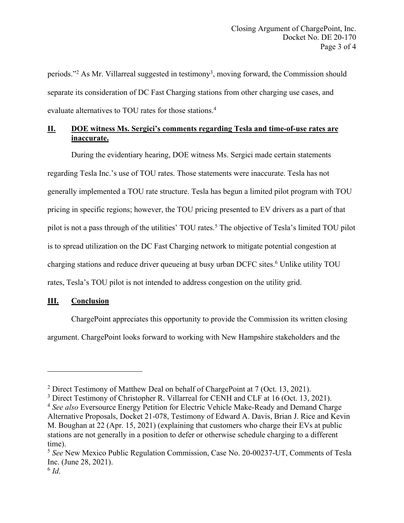periods."<sup>2</sup> As Mr. Villarreal suggested in testimony<sup>3</sup>, moving forward, the Commission should separate its consideration of DC Fast Charging stations from other charging use cases, and evaluate alternatives to TOU rates for those stations. 4

## **II. DOE witness Ms. Sergici's comments regarding Tesla and time-of-use rates are inaccurate.**

During the evidentiary hearing, DOE witness Ms. Sergici made certain statements regarding Tesla Inc.'s use of TOU rates. Those statements were inaccurate. Tesla has not generally implemented a TOU rate structure. Tesla has begun a limited pilot program with TOU pricing in specific regions; however, the TOU pricing presented to EV drivers as a part of that pilot is not a pass through of the utilities' TOU rates.<sup>5</sup> The objective of Tesla's limited TOU pilot is to spread utilization on the DC Fast Charging network to mitigate potential congestion at charging stations and reduce driver queueing at busy urban DCFC sites.<sup>6</sup> Unlike utility TOU rates, Tesla's TOU pilot is not intended to address congestion on the utility grid.

### **III. Conclusion**

ChargePoint appreciates this opportunity to provide the Commission its written closing argument. ChargePoint looks forward to working with New Hampshire stakeholders and the

<sup>2</sup> Direct Testimony of Matthew Deal on behalf of ChargePoint at 7 (Oct. 13, 2021).

<sup>&</sup>lt;sup>3</sup> Direct Testimony of Christopher R. Villarreal for CENH and CLF at 16 (Oct. 13, 2021).

<sup>4</sup> *See also* Eversource Energy Petition for Electric Vehicle Make-Ready and Demand Charge Alternative Proposals, Docket 21-078, Testimony of Edward A. Davis, Brian J. Rice and Kevin M. Boughan at 22 (Apr. 15, 2021) (explaining that customers who charge their EVs at public stations are not generally in a position to defer or otherwise schedule charging to a different time).

<sup>5</sup> *See* New Mexico Public Regulation Commission, Case No. 20-00237-UT, Comments of Tesla Inc. (June 28, 2021).